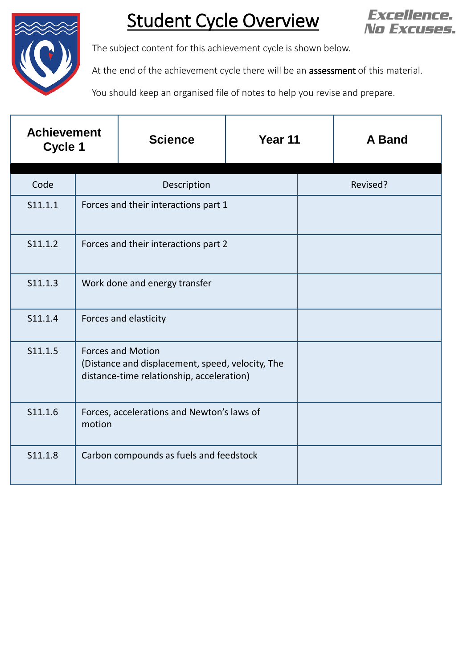

## Student Cycle Overview



The subject content for this achievement cycle is shown below.

At the end of the achievement cycle there will be an **assessment** of this material.

You should keep an organised file of notes to help you revise and prepare.

| <b>Achievement</b><br>Cycle 1 |                                                      | <b>Science</b>                                                                                                            | Year 11 |  | A Band   |
|-------------------------------|------------------------------------------------------|---------------------------------------------------------------------------------------------------------------------------|---------|--|----------|
| Code                          | Description                                          |                                                                                                                           |         |  | Revised? |
| S11.1.1                       |                                                      | Forces and their interactions part 1                                                                                      |         |  |          |
| S11.1.2                       |                                                      | Forces and their interactions part 2                                                                                      |         |  |          |
| S11.1.3                       |                                                      | Work done and energy transfer                                                                                             |         |  |          |
| S11.1.4                       |                                                      | Forces and elasticity                                                                                                     |         |  |          |
| S11.1.5                       |                                                      | <b>Forces and Motion</b><br>(Distance and displacement, speed, velocity, The<br>distance-time relationship, acceleration) |         |  |          |
| S11.1.6                       | Forces, accelerations and Newton's laws of<br>motion |                                                                                                                           |         |  |          |
| S11.1.8                       | Carbon compounds as fuels and feedstock              |                                                                                                                           |         |  |          |